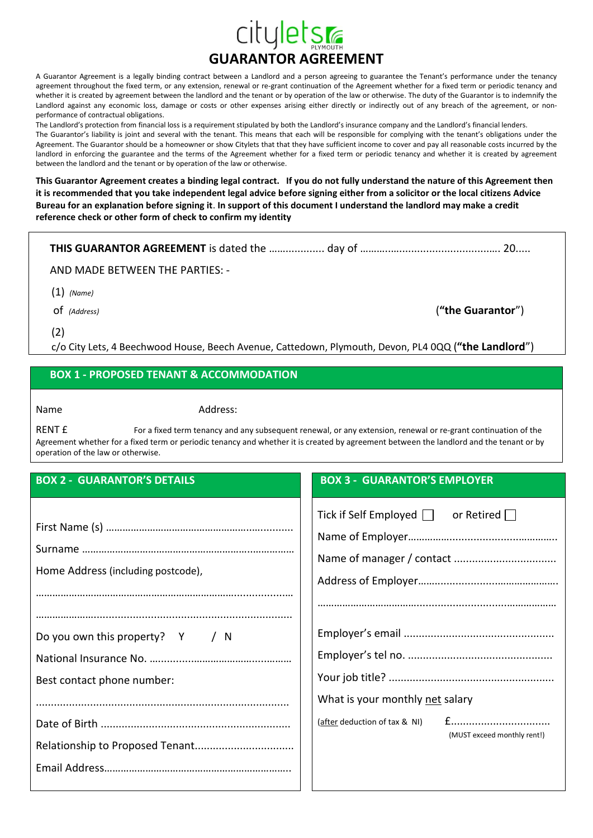

A Guarantor Agreement is a legally binding contract between a Landlord and a person agreeing to guarantee the Tenant's performance under the tenancy agreement throughout the fixed term, or any extension, renewal or re-grant continuation of the Agreement whether for a fixed term or periodic tenancy and whether it is created by agreement between the landlord and the tenant or by operation of the law or otherwise. The duty of the Guarantor is to indemnify the Landlord against any economic loss, damage or costs or other expenses arising either directly or indirectly out of any breach of the agreement, or nonperformance of contractual obligations.

The Landlord's protection from financial loss is a requirement stipulated by both the Landlord's insurance company and the Landlord's financial lenders. The Guarantor's liability is joint and several with the tenant. This means that each will be responsible for complying with the tenant's obligations under the Agreement. The Guarantor should be a homeowner or show Citylets that that they have sufficient income to cover and pay all reasonable costs incurred by the landlord in enforcing the guarantee and the terms of the Agreement whether for a fixed term or periodic tenancy and whether it is created by agreement between the landlord and the tenant or by operation of the law or otherwise.

**This Guarantor Agreement creates a binding legal contract. If you do not fully understand the nature of this Agreement then it is recommended that you take independent legal advice before signing either from a solicitor or the local citizens Advice Bureau for an explanation before signing it**. **In support of this document I understand the landlord may make a credit reference check or other form of check to confirm my identity**

**THIS GUARANTOR AGREEMENT** is dated the ……............. day of ………..…..............................…. 20.....

AND MADE BETWEEN THE PARTIES: -

(1) *(Name)*

of *(Address)* (**"the Guarantor**")

(2) c/o City Lets, 4 Beechwood House, Beech Avenue, Cattedown, Plymouth, Devon, PL4 0QQ (**"the Landlord**")

# **BOX 1 - PROPOSED TENANT & ACCOMMODATION**

Name Address:

RENT  $f$  For a fixed term tenancy and any subsequent renewal, or any extension, renewal or re-grant continuation of the Agreement whether for a fixed term or periodic tenancy and whether it is created by agreement between the landlord and the tenant or by operation of the law or otherwise.

| Home Address (including postcode), |
|------------------------------------|
|                                    |
|                                    |
| Do you own this property? $Y / N$  |
|                                    |
| Best contact phone number:         |
|                                    |
|                                    |
|                                    |
|                                    |

# **BOX 2 - GUARANTOR'S DETAILS BOX 3 - GUARANTOR'S EMPLOYER**

| Tick if Self Employed $\Box$ or Retired $\Box$ |                             |  |  |  |  |
|------------------------------------------------|-----------------------------|--|--|--|--|
|                                                |                             |  |  |  |  |
|                                                |                             |  |  |  |  |
|                                                |                             |  |  |  |  |
|                                                |                             |  |  |  |  |
|                                                |                             |  |  |  |  |
|                                                |                             |  |  |  |  |
|                                                |                             |  |  |  |  |
|                                                |                             |  |  |  |  |
| What is your monthly net salary                |                             |  |  |  |  |
| (after deduction of tax & NI)                  | £                           |  |  |  |  |
|                                                | (MUST exceed monthly rent!) |  |  |  |  |
|                                                |                             |  |  |  |  |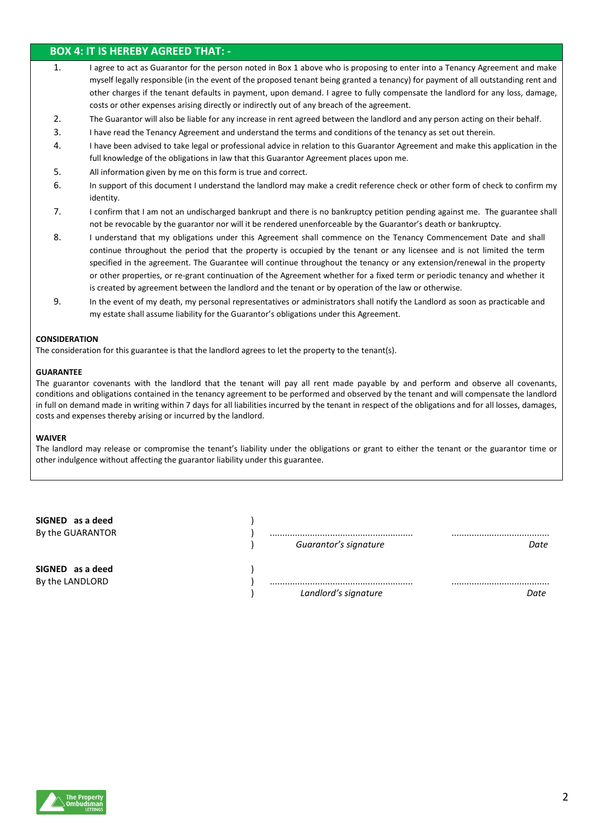## **BOX 4: IT IS HEREBY AGREED THAT: -**

- 1. I agree to act as Guarantor for the person noted in Box 1 above who is proposing to enter into a Tenancy Agreement and make myself legally responsible (in the event of the proposed tenant being granted a tenancy) for payment of all outstanding rent and other charges if the tenant defaults in payment, upon demand. I agree to fully compensate the landlord for any loss, damage, costs or other expenses arising directly or indirectly out of any breach of the agreement.
- 2. The Guarantor will also be liable for any increase in rent agreed between the landlord and any person acting on their behalf.
- 3. I have read the Tenancy Agreement and understand the terms and conditions of the tenancy as set out therein.
- 4. I have been advised to take legal or professional advice in relation to this Guarantor Agreement and make this application in the full knowledge of the obligations in law that this Guarantor Agreement places upon me.
- 5. All information given by me on this form is true and correct.
- 6. In support of this document I understand the landlord may make a credit reference check or other form of check to confirm my identity.
- 7. I confirm that I am not an undischarged bankrupt and there is no bankruptcy petition pending against me. The guarantee shall not be revocable by the guarantor nor will it be rendered unenforceable by the Guarantor's death or bankruptcy.
- 8. I understand that my obligations under this Agreement shall commence on the Tenancy Commencement Date and shall continue throughout the period that the property is occupied by the tenant or any licensee and is not limited the term specified in the agreement. The Guarantee will continue throughout the tenancy or any extension/renewal in the property or other properties, or re-grant continuation of the Agreement whether for a fixed term or periodic tenancy and whether it is created by agreement between the landlord and the tenant or by operation of the law or otherwise.
- 9. In the event of my death, my personal representatives or administrators shall notify the Landlord as soon as practicable and my estate shall assume liability for the Guarantor's obligations under this Agreement.

### **CONSIDERATION**

The consideration for this guarantee is that the landlord agrees to let the property to the tenant(s).

#### **GUARANTEE**

The guarantor covenants with the landlord that the tenant will pay all rent made payable by and perform and observe all covenants, conditions and obligations contained in the tenancy agreement to be performed and observed by the tenant and will compensate the landlord in full on demand made in writing within 7 days for all liabilities incurred by the tenant in respect of the obligations and for all losses, damages, costs and expenses thereby arising or incurred by the landlord.

#### **WAIVER**

The landlord may release or compromise the tenant's liability under the obligations or grant to either the tenant or the guarantor time or other indulgence without affecting the guarantor liability under this guarantee.

| SIGNED as a deed<br>By the GUARANTOR | Guarantor's signature | Date |
|--------------------------------------|-----------------------|------|
| SIGNED as a deed                     |                       |      |
| By the LANDLORD                      | Landlord's signature  | Date |